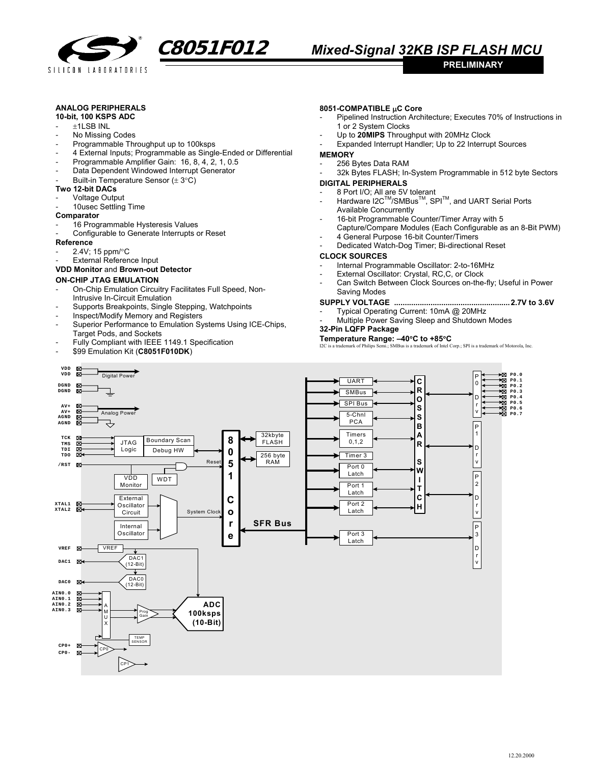

# **C8051F012** *Mixed-Signal 32KB ISP FLASH MCU*

## **ANALOG PERIPHERALS**

## **10-bit, 100 KSPS ADC**

- $+1$ LSB INL
- No Missing Codes
- Programmable Throughput up to 100ksps
- 4 External Inputs; Programmable as Single-Ended or Differential
- Programmable Amplifier Gain: 16, 8, 4, 2, 1, 0.5
- Data Dependent Windowed Interrupt Generator
- Built-in Temperature Sensor  $(\pm 3^{\circ}C)$
- **Two 12-bit DACs**
- Voltage Output
- 10usec Settling Time

#### **Comparator**

- 16 Programmable Hysteresis Values
- Configurable to Generate Interrupts or Reset

#### **Reference**

- 2.4V; 15 ppm/°C
- External Reference Input

## **VDD Monitor** and **Brown-out Detector**

# **ON-CHIP JTAG EMULATION**

- On-Chip Emulation Circuitry Facilitates Full Speed, Non-Intrusive In-Circuit Emulation
- Supports Breakpoints, Single Stepping, Watchpoints
- Inspect/Modify Memory and Registers
- Superior Performance to Emulation Systems Using ICE-Chips, Target Pods, and Sockets
- Fully Compliant with IEEE 1149.1 Specification
- \$99 Emulation Kit (**C8051F010DK**)

#### **8051-COMPATIBLE** µ**C Core**

Pipelined Instruction Architecture; Executes 70% of Instructions in 1 or 2 System Clocks

**PRELIMINARY** 

- Up to **20MIPS** Throughput with 20MHz Clock
- Expanded Interrupt Handler; Up to 22 Interrupt Sources

#### **MEMORY**

- 256 Bytes Data RAM
- 32k Bytes FLASH; In-System Programmable in 512 byte Sectors

#### **DIGITAL PERIPHERALS**

- 8 Port I/O; All are 5V tolerant
- Hardware I2C<sup>™</sup>/SMBus<sup>™</sup>, SPI<sup>™</sup>, and UART Serial Ports Available Concurrently
- 16-bit Programmable Counter/Timer Array with 5
- Capture/Compare Modules (Each Configurable as an 8-Bit PWM) 4 General Purpose 16-bit Counter/Timers
- Dedicated Watch-Dog Timer; Bi-directional Reset

#### **CLOCK SOURCES**

- Internal Programmable Oscillator: 2-to-16MHz
- External Oscillator: Crystal, RC,C, or Clock
	- Can Switch Between Clock Sources on-the-fly; Useful in Power Saving Modes

### **SUPPLY VOLTAGE ......................................................2.7V to 3.6V**

- Typical Operating Current: 10mA @ 20MHz
- Multiple Power Saving Sleep and Shutdown Modes **32-Pin LQFP Package**

# **Temperature Range: –40**°**C to +85**°**C**

mark of Philips Semi.; SMBus is a trademark of Intel Corp.; SPI is a trademark of Motorola, Inc.